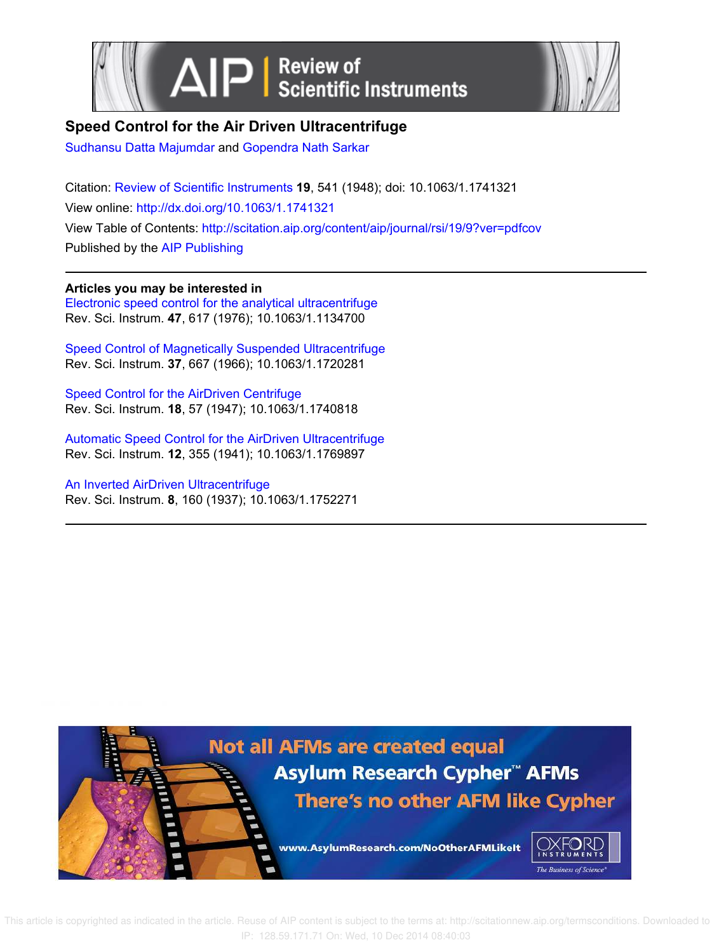



## **Speed Control for the Air Driven Ultracentrifuge**

Sudhansu Datta Majumdar and Gopendra Nath Sarkar

Citation: Review of Scientific Instruments **19**, 541 (1948); doi: 10.1063/1.1741321 View online: http://dx.doi.org/10.1063/1.1741321 View Table of Contents: http://scitation.aip.org/content/aip/journal/rsi/19/9?ver=pdfcov Published by the AIP Publishing

## **Articles you may be interested in**

Electronic speed control for the analytical ultracentrifuge Rev. Sci. Instrum. **47**, 617 (1976); 10.1063/1.1134700

Speed Control of Magnetically Suspended Ultracentrifuge Rev. Sci. Instrum. **37**, 667 (1966); 10.1063/1.1720281

Speed Control for the AirDriven Centrifuge Rev. Sci. Instrum. **18**, 57 (1947); 10.1063/1.1740818

Automatic Speed Control for the AirDriven Ultracentrifuge Rev. Sci. Instrum. **12**, 355 (1941); 10.1063/1.1769897

An Inverted AirDriven Ultracentrifuge Rev. Sci. Instrum. **8**, 160 (1937); 10.1063/1.1752271



 This article is copyrighted as indicated in the article. Reuse of AIP content is subject to the terms at: http://scitationnew.aip.org/termsconditions. Downloaded to IP: 128.59.171.71 On: Wed, 10 Dec 2014 08:40:03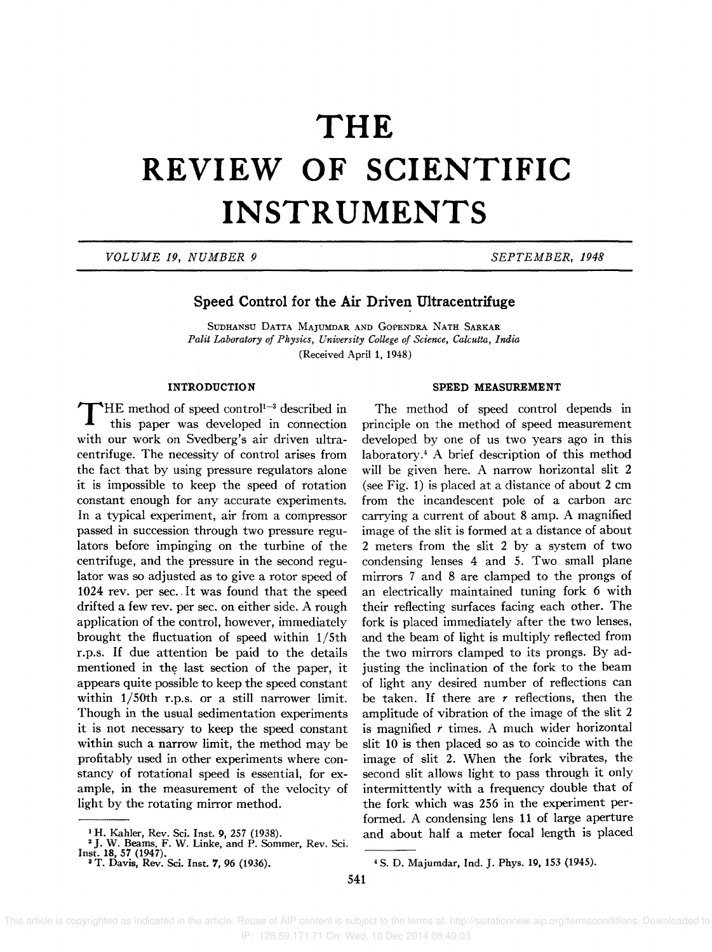# **THE REVIEW OF SCIENTIFIC INSTRUMENTS**

*VOLUME* 19, *NUMBER 9 SEPTEMBER, 1948* 

### **Speed Control for the Air Driven Ultracentrifuge**

SUDHANSU DATTA MAJUMDAR AND GOPENDRA NATH SARKAR *Palit Laboratory of Physics, University College of Science, Calcutta, India*  (Received April 1, 1948)

#### **INTRODUCTION**

 $\mathbf T$ HE method of speed control<sup>1-3</sup> described in this paper was developed in connection with our work on Svedberg's air driven ultracentrifuge. The necessity of control arises from the fact that by using pressure regulators alone it is impossible to keep the speed of rotation constant enough for any accurate experiments. In a typical experiment, air from a compressor passed in succession through two pressure regulators before impinging on the turbine of the centrifuge, and the pressure in the second regulator was so adjusted as to give a rotor speed of 1024 rev. per sec. It was found that the speed drifted a few rev. per sec. on either side. A rough application of the control, however, immediately brought the fluctuation of speed within 1/5th r.p.s. If due attention be paid to the details mentioned in the last section of the paper, it appears quite possible to keep the speed constant within 1/5Oth r.p.s. or a still narrower limit. Though in the usual sedimentation experiments it is not necessary to keep the speed constant within such a narrow limit, the method may be profitably used in other experiments where constancy of rotational speed is essential, for example, in the measurement of the velocity of light by the rotating mirror method.

#### SPEED MEASUREMENT

The method of speed control depends in principle on the method of speed measurement developed by one of us two years ago in this laboratory.4 A brief description of this method will be given here. A narrow horizontal slit 2 (see Fig. 1) is placed at a distance of about 2 cm from the incandescent pole of a carbon arc carrying a current of about 8 amp. A magnified image of the slit is formed at a distance of about 2 meters from the slit 2 by a system of two condensing lenses 4 and 5. Two small plane mirrors 7 and 8 are clamped to the prongs of an electrically maintained tuning fork 6 with their reflecting surfaces facing each other. The fork is placed immediately after the two lenses, and the beam of light is multiply reflected from the two mirrors clamped to its prongs. By adjusting the inclination of the fork to the beam of light any desired number of reflections can be taken. If there are *r* reflections, then the amplitude of vibration of the image of the slit 2 is magnified  $r$  times. A much wider horizontal slit 10 is then placed so as to coincide with the image of slit 2. When the fork vibrates, the second slit allows light to pass through it only intermittently with a frequency double that of the fork which was 256 in the experiment performed. A condensing lens 11 of large aperture and about half a meter focal length is placed

 This article is copyrighted as indicated in the article. Reuse of AIP content is subject to the terms at: http://scitationnew.aip.org/termsconditions. Downloaded to IP: 128.59.171.71 On: Wed, 10 Dec 2014 08:40:03

<sup>&</sup>lt;sup>1</sup> H. Kahler, Rev. Sci. Inst. 9, 257 (1938).<br><sup>2</sup> J. W. Beams, F. W. Linke, and P. Sommer, Rev. Sci. Inst. 18, 57 (1947).

<sup>3</sup>T. Davis, Rev. Sci. lnst. 7, 96 (1936).

<sup>4</sup>S. D. Majumdar, Ind. J. Phys. 19, 153 (1945).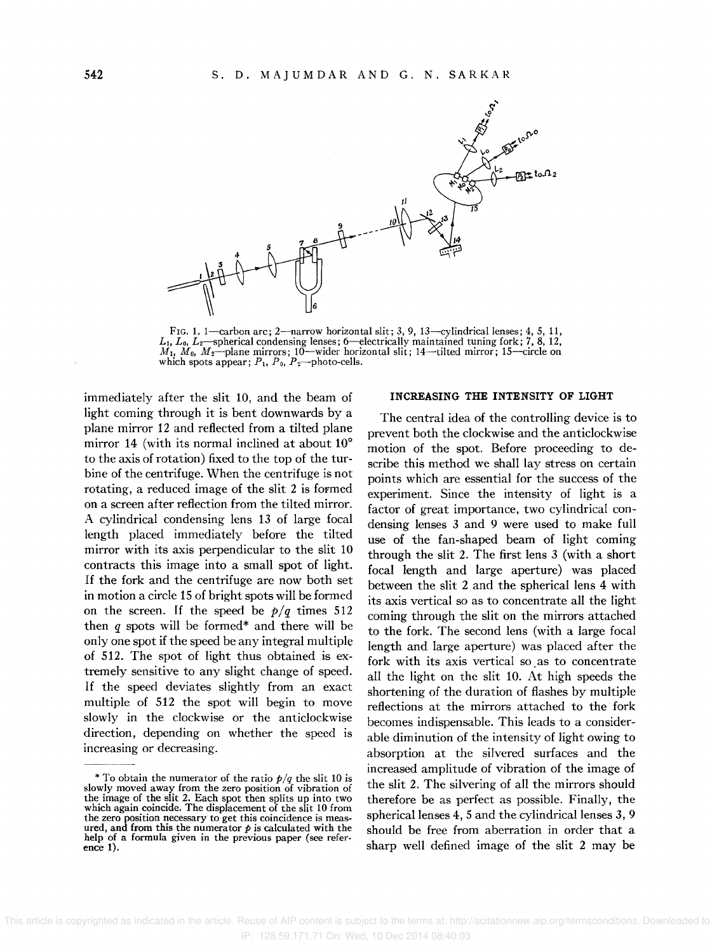

FIG. 1. 1—carbon arc; 2—narrow horizontal slit; 3, 9, 13—cylindrical lenses; 4, 5, 11, L<sub>1</sub>, L<sub>0</sub>, L<sub>2</sub>—spherical condensing lenses; 6—electrically maintained tuning fork; 7, 8, 12, M<sub>1</sub>, M<sub>0</sub>, M<sub>2</sub>—plane mirrors; 10—wider horizontal slit; 14—tilted mirror; 15—circle on which spots appear;  $P_1$ ,  $P_0$ ,  $P_2$ -photo-cells.

immediately after the slit 10, and the beam of light coming through it is bent downwards by a plane mirror 12 and reflected from a tilted plane mirror 14 (with its normal inclined at about 10° to the axis of rotation) fixed to the top of the turbine of the centrifuge. When the centrifuge is not rotating, a reduced image of the slit 2 is formed on a screen after reflection from the tilted mirror. A cylindrical condensing lens 13 of large focal length placed immediately before the tilted mirror with its axis perpendicular to the slit 10 contracts this image into a small spot of light. If the fork and the centrifuge are now both set in motion a circle 15 of bright spots will be formed on the screen. If the speed be  $p/q$  times 512 then *q* spots will be formed\* and there will be only one spot if the speed be any integral multiple of 512. The spot of light thus obtained is extremely sensitive to any slight change of speed. If the speed deviates slightly from an exact multiple of 512 the spot will begin to move slowly in the clockwise or the anticlockwise direction, depending on whether the speed is increasing or decreasing.

#### INCREASING THE INTENSITY OF LIGHT

The central idea of the controlling device is to prevent both the clockwise and the anticlockwise motion of the spot. Before proceeding to describe this method we shall lay stress on certain points which are essential for the success of the experiment. Since the intensity of light is a factor of great importance, two cylindrical condensing lenses 3 and 9 were used to make full use of the fan-shaped beam of light coming through the slit 2. The first lens 3 (with a short focal length and large aperture) was placed between the slit 2 and the spherical lens 4 with its axis vertical so as to concentrate all the light coming through the slit on the mirrors attached to the fork. The second lens (with a large focal length and large aperture) was placed after the fork with its axis vertical so as to concentrate all the light on the slit 10. At high speeds the shortening of the duration of flashes by multiple reflections at the mirrors attached to the fork becomes indispensable. This leads to a considerable diminution of the intensity of light owing to absorption at the silvered surfaces and the increased amplitude of vibration of the image of the slit 2. The silvering of all the mirrors should therefore be as perfect as possible. Finally, the spherical lenses 4, 5 and the cylindrical lenses 3, 9 should be free from aberration in order that a sharp well defined image of the slit 2 may be

<sup>\*</sup> To obtain the numerator of the ratio  $p/q$  the slit 10 is slowly moved away from the zero position of vibration of<br>the image of the slit 2. Each spot then splits up into two which again coincide. The displacement of the slit 10 from the zero position necessary to get this coincidence is measured, and from this the numerator  $p$  is calculated with the help' of a formula given in the previous paper (see reference 1).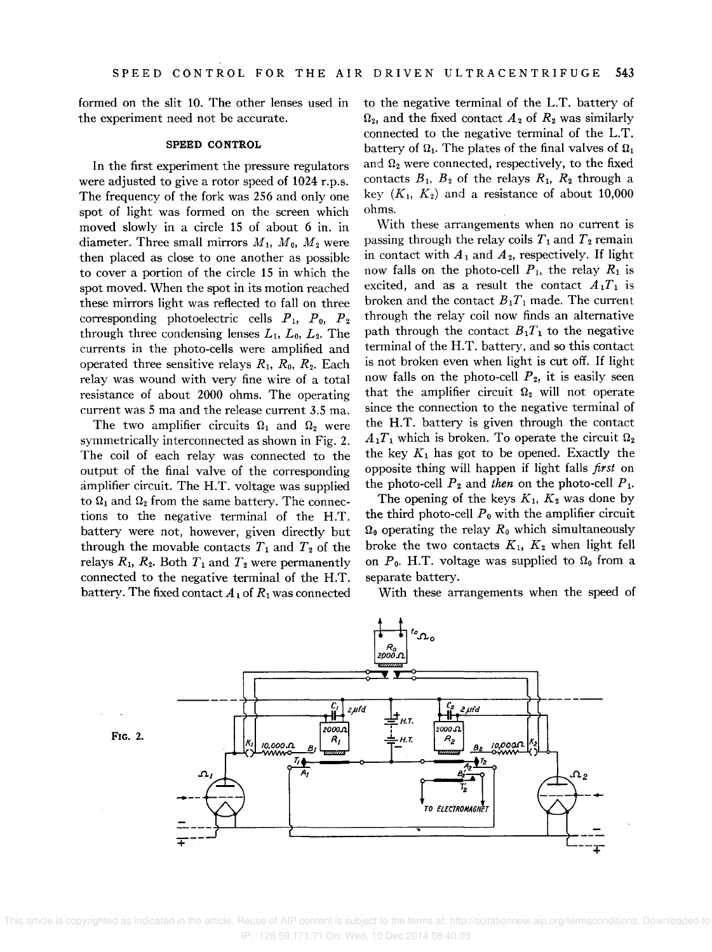formed on the slit 10. The other lenses used in the experiment need not be accurate.

#### SPEED CONTROL

In the first experiment the pressure regulators were adjusted to give a rotor speed of 1024 r.p.s. The frequency of the fork was 256 and only one spot of light was formed on the screen which moved slowly in a circle 15 of about 6 in. in diameter. Three small mirrors  $M_1$ ,  $M_0$ ,  $M_2$  were then placed as close to one another as possible to cover a portion of the circle 15 in which the spot moved. When the spot in its motion reached these mirrors light was reflected to fall on three corresponding photoelectric cells  $P_1$ ,  $P_0$ ,  $P_2$ through three condensing lenses  $L_1$ ,  $L_0$ ,  $L_2$ . The currents in the photo-cells were amplified and operated three sensitive relays  $R_1$ ,  $R_0$ ,  $R_2$ . Each relay was wound with very fine wire of a total resistance of about 2000 ohms. The operating current was 5 ma and the release current 3.5 ma.

The two amplifier circuits  $\Omega_1$  and  $\Omega_2$  were symmetrically interconnected as shown in Fig. 2. The coil of each relay was connected to the output of the final valve of the corresponding amplifier circuit. The H.T. voltage was supplied to  $\Omega_1$  and  $\Omega_2$  from the same battery. The connections to the negative terminal of the H.T. battery were not, however, given directly but through the movable contacts  $T_1$  and  $T_2$  of the relays  $R_1$ ,  $R_2$ . Both  $T_1$  and  $T_2$  were permanently connected to the negative terminal of the H.T. battery. The fixed contact  $A_1$  of  $R_1$  was connected

to the negative terminal of the L.T. battery of  $\Omega_2$ , and the fixed contact  $A_2$  of  $R_2$  was similarly connected to the negative terminal of the L.T. battery of  $\Omega_1$ . The plates of the final valves of  $\Omega_1$ and  $\Omega_2$  were connected, respectively, to the fixed contacts  $B_1$ ,  $B_2$  of the relays  $R_1$ ,  $R_2$  through a key  $(K_1, K_2)$  and a resistance of about 10,000 ohms.

With these arrangements when no current is passing through the relay coils  $T_1$  and  $T_2$  remain in contact with  $A_1$  and  $A_2$ , respectively. If light now falls on the photo-cell  $P_1$ , the relay  $R_1$  is excited, and as a result the contact  $A_1T_1$  is broken and the contact  $B_1T_1$  made. The current through the relay coil now finds an alternative path through the contact  $B_1T_1$  to the negative terminal of the H.T. battery, and so this contact is not broken even when light is cut off. If light now falls on the photo-cell  $P_2$ , it is easily seen that the amplifier circuit  $\Omega_2$  will not operate since the connection to the negative terminal of the H.T. battery is given through the contact  $A_1T_1$  which is broken. To operate the circuit  $\Omega_2$ the key  $K_1$  has got to be opened. Exactly the opposite thing will happen if light falls *first* on the photo-cell  $P_2$  and *then* on the photo-cell  $P_1$ .

The opening of the keys  $K_1$ ,  $K_2$  was done by the third photo-cell  $P_0$  with the amplifier circuit  $\Omega_0$  operating the relay  $R_0$  which simultaneously broke the two contacts  $K_1$ ,  $K_2$  when light fell on  $P_0$ . H.T. voltage was supplied to  $\Omega_0$  from a separate battery.

With these arrangements when the speed of



FIG. 2.